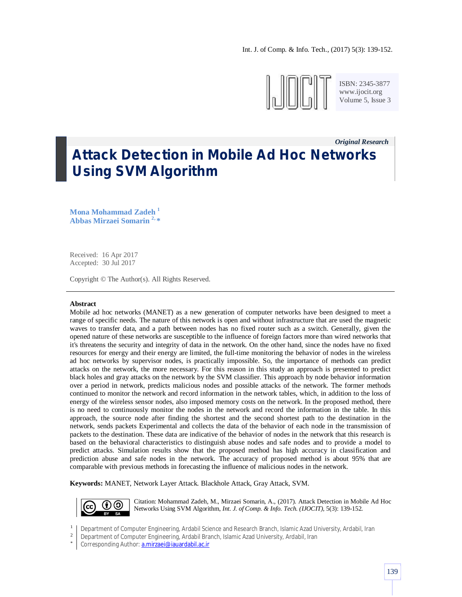

ISBN: 2345-3877 www.ijocit.org Volume 5, Issue 3

*Original Research\_\_*

# **Attack Detection in Mobile Ad Hoc Networks Using SVM Algorithm**

**Mona Mohammad Zadeh <sup>1</sup> Abbas Mirzaei Somarin 2, \***

Received: 16 Apr 2017 Accepted: 30 Jul 2017

Copyright © The Author(s). All Rights Reserved.

#### **Abstract**

Mobile ad hoc networks (MANET) as a new generation of computer networks have been designed to meet a range of specific needs. The nature of this network is open and without infrastructure that are used the magnetic waves to transfer data, and a path between nodes has no fixed router such as a switch. Generally, given the opened nature of these networks are susceptible to the influence of foreign factors more than wired networks that it's threatens the security and integrity of data in the network. On the other hand, since the nodes have no fixed resources for energy and their energy are limited, the full-time monitoring the behavior of nodes in the wireless ad hoc networks by supervisor nodes, is practically impossible. So, the importance of methods can predict attacks on the network, the more necessary. For this reason in this study an approach is presented to predict black holes and gray attacks on the network by the SVM classifier. This approach by node behavior information over a period in network, predicts malicious nodes and possible attacks of the network. The former methods continued to monitor the network and record information in the network tables, which, in addition to the loss of energy of the wireless sensor nodes, also imposed memory costs on the network. In the proposed method, there is no need to continuously monitor the nodes in the network and record the information in the table. In this approach, the source node after finding the shortest and the second shortest path to the destination in the network, sends packets Experimental and collects the data of the behavior of each node in the transmission of packets to the destination. These data are indicative of the behavior of nodes in the network that this research is based on the behavioral characteristics to distinguish abuse nodes and safe nodes and to provide a model to predict attacks. Simulation results show that the proposed method has high accuracy in classification and prediction abuse and safe nodes in the network. The accuracy of proposed method is about 95% that are comparable with previous methods in forecasting the influence of malicious nodes in the network.

**Keywords:** MANET, Network Layer Attack. Blackhole Attack, Gray Attack, SVM.



Citation: Mohammad Zadeh, M., Mirzaei Somarin, A., (2017). Attack Detection in Mobile Ad Hoc Networks Using SVM Algorithm, *Int. J. of Comp. & Info. Tech. (IJOCIT)*, 5(3): 139-152.

<sup>1</sup> Department of Computer Engineering, Ardabil Science and Research Branch, Islamic Azad University, Ardabil, Iran

<sup>2</sup> Department of Computer Engineering, Ardabil Branch, Islamic Azad University, Ardabil, Iran

<sup>\*</sup> Corresponding Author: a.mirzaei@iauardabil.ac.ir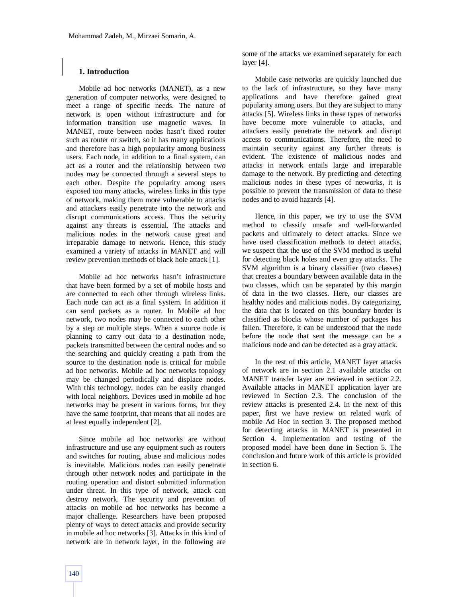## **1. Introduction**

Mobile ad hoc networks (MANET), as a new generation of computer networks, were designed to meet a range of specific needs. The nature of network is open without infrastructure and for information transition use magnetic waves. In MANET, route between nodes hasn't fixed router such as router or switch, so it has many applications and therefore has a high popularity among business users. Each node, in addition to a final system, can act as a router and the relationship between two nodes may be connected through a several steps to each other. Despite the popularity among users exposed too many attacks, wireless links in this type of network, making them more vulnerable to attacks and attackers easily penetrate into the network and disrupt communications access. Thus the security against any threats is essential. The attacks and malicious nodes in the network cause great and irreparable damage to network. Hence, this study examined a variety of attacks in MANET and will review prevention methods of black hole attack [1].

Mobile ad hoc networks hasn't infrastructure that have been formed by a set of mobile hosts and are connected to each other through wireless links. Each node can act as a final system. In addition it can send packets as a router. In Mobile ad hoc network, two nodes may be connected to each other by a step or multiple steps. When a source node is planning to carry out data to a destination node, packets transmitted between the central nodes and so the searching and quickly creating a path from the source to the destination node is critical for mobile ad hoc networks. Mobile ad hoc networks topology may be changed periodically and displace nodes. With this technology, nodes can be easily changed with local neighbors. Devices used in mobile ad hoc networks may be present in various forms, but they have the same footprint, that means that all nodes are at least equally independent [2].

Since mobile ad hoc networks are without infrastructure and use any equipment such as routers and switches for routing, abuse and malicious nodes is inevitable. Malicious nodes can easily penetrate through other network nodes and participate in the routing operation and distort submitted information under threat. In this type of network, attack can destroy network. The security and prevention of attacks on mobile ad hoc networks has become a major challenge. Researchers have been proposed plenty of ways to detect attacks and provide security in mobile ad hoc networks [3]. Attacks in this kind of network are in network layer, in the following are some of the attacks we examined separately for each layer [4].

Mobile case networks are quickly launched due to the lack of infrastructure, so they have many applications and have therefore gained great popularity among users. But they are subject to many attacks [5]. Wireless links in these types of networks have become more vulnerable to attacks, and attackers easily penetrate the network and disrupt access to communications. Therefore, the need to maintain security against any further threats is evident. The existence of malicious nodes and attacks in network entails large and irreparable damage to the network. By predicting and detecting malicious nodes in these types of networks, it is possible to prevent the transmission of data to these nodes and to avoid hazards [4].

Hence, in this paper, we try to use the SVM method to classify unsafe and well-forwarded packets and ultimately to detect attacks. Since we have used classification methods to detect attacks, we suspect that the use of the SVM method is useful for detecting black holes and even gray attacks. The SVM algorithm is a binary classifier (two classes) that creates a boundary between available data in the two classes, which can be separated by this margin of data in the two classes. Here, our classes are healthy nodes and malicious nodes. By categorizing, the data that is located on this boundary border is classified as blocks whose number of packages has fallen. Therefore, it can be understood that the node before the node that sent the message can be a malicious node and can be detected as a gray attack.

In the rest of this article, MANET layer attacks of network are in section 2.1 available attacks on MANET transfer layer are reviewed in section 2.2. Available attacks in MANET application layer are reviewed in Section 2.3. The conclusion of the review attacks is presented 2.4. In the next of this paper, first we have review on related work of mobile Ad Hoc in section 3. The proposed method for detecting attacks in MANET is presented in Section 4. Implementation and testing of the proposed model have been done in Section 5. The conclusion and future work of this article is provided in section 6.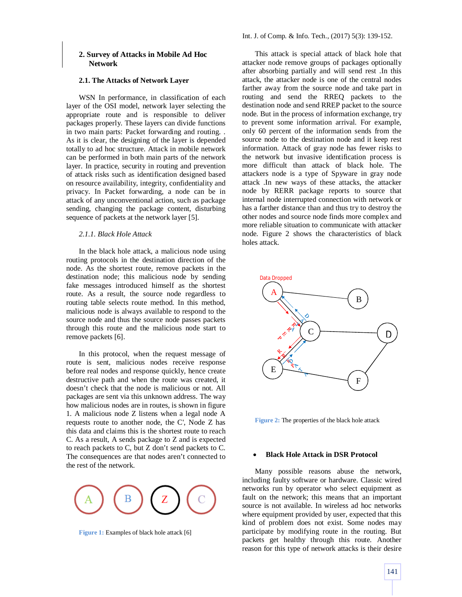#### **2.1. The Attacks of Network Layer**

WSN In performance, in classification of each layer of the OSI model, network layer selecting the appropriate route and is responsible to deliver packages properly. These layers can divide functions in two main parts: Packet forwarding and routing. . As it is clear, the designing of the layer is depended totally to ad hoc structure. Attack in mobile network can be performed in both main parts of the network layer. In practice, security in routing and prevention of attack risks such as identification designed based on resource availability, integrity, confidentiality and privacy. In Packet forwarding, a node can be in attack of any unconventional action, such as package sending, changing the package content, disturbing sequence of packets at the network layer [5].

## *2.1.1. Black Hole Attack*

In the black hole attack, a malicious node using routing protocols in the destination direction of the node. As the shortest route, remove packets in the destination node; this malicious node by sending fake messages introduced himself as the shortest route. As a result, the source node regardless to routing table selects route method. In this method, malicious node is always available to respond to the source node and thus the source node passes packets through this route and the malicious node start to remove packets [6].

In this protocol, when the request message of route is sent, malicious nodes receive response before real nodes and response quickly, hence create destructive path and when the route was created, it doesn't check that the node is malicious or not. All packages are sent via this unknown address. The way how malicious nodes are in routes, is shown in figure 1. A malicious node Z listens when a legal node A requests route to another node, the C', Node Z has this data and claims this is the shortest route to reach C. As a result, A sends package to Z and is expected to reach packets to C, but Z don't send packets to C. The consequences are that nodes aren't connected to the rest of the network.



**Figure 1:** Examples of black hole attack [6]

This attack is special attack of black hole that attacker node remove groups of packages optionally after absorbing partially and will send rest .In this attack, the attacker node is one of the central nodes farther away from the source node and take part in routing and send the RREQ packets to the destination node and send RREP packet to the source node. But in the process of information exchange, try to prevent some information arrival. For example, only 60 percent of the information sends from the source node to the destination node and it keep rest information. Attack of gray node has fewer risks to the network but invasive identification process is more difficult than attack of black hole. The attackers node is a type of Spyware in gray node attack .In new ways of these attacks, the attacker node by RERR package reports to source that internal node interrupted connection with network or has a farther distance than and thus try to destroy the other nodes and source node finds more complex and more reliable situation to communicate with attacker node. Figure 2 shows the characteristics of black holes attack.



**Figure 2:** The properties of the black hole attack

#### **Black Hole Attack in DSR Protocol**

Many possible reasons abuse the network, including faulty software or hardware. Classic wired networks run by operator who select equipment as fault on the network; this means that an important source is not available. In wireless ad hoc networks where equipment provided by user, expected that this kind of problem does not exist. Some nodes may participate by modifying route in the routing. But packets get healthy through this route. Another reason for this type of network attacks is their desire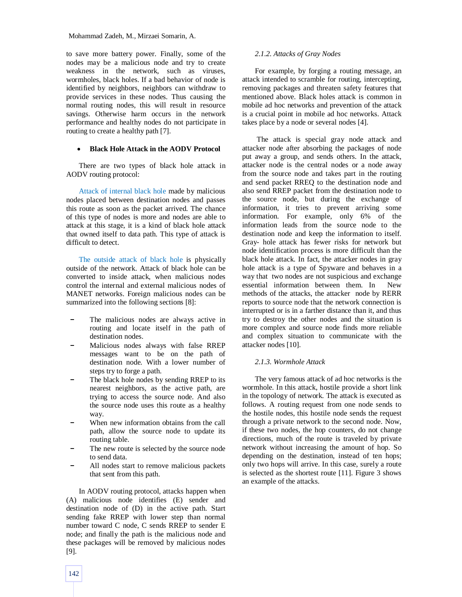Mohammad Zadeh, M., Mirzaei Somarin, A.

to save more battery power. Finally, some of the nodes may be a malicious node and try to create weakness in the network, such as viruses, wormholes, black holes. If a bad behavior of node is identified by neighbors, neighbors can withdraw to provide services in these nodes. Thus causing the normal routing nodes, this will result in resource savings. Otherwise harm occurs in the network performance and healthy nodes do not participate in routing to create a healthy path [7].

#### **Black Hole Attack in the AODV Protocol**

There are two types of black hole attack in AODV routing protocol:

Attack of internal black hole made by malicious nodes placed between destination nodes and passes this route as soon as the packet arrived. The chance of this type of nodes is more and nodes are able to attack at this stage, it is a kind of black hole attack that owned itself to data path. This type of attack is difficult to detect.

The outside attack of black hole is physically outside of the network. Attack of black hole can be converted to inside attack, when malicious nodes control the internal and external malicious nodes of MANET networks. Foreign malicious nodes can be summarized into the following sections [8]:

- The malicious nodes are always active in routing and locate itself in the path of destination nodes.
- Malicious nodes always with false RREP messages want to be on the path of destination node. With a lower number of steps try to forge a path.
- The black hole nodes by sending RREP to its nearest neighbors, as the active path, are trying to access the source node. And also the source node uses this route as a healthy way.
- When new information obtains from the call path, allow the source node to update its routing table.
- The new route is selected by the source node to send data.
- All nodes start to remove malicious packets that sent from this path.

In AODV routing protocol, attacks happen when (A) malicious node identifies (E) sender and destination node of (D) in the active path. Start sending fake RREP with lower step than normal number toward C node, C sends RREP to sender E node; and finally the path is the malicious node and these packages will be removed by malicious nodes [9].

## *2.1.2. Attacks of Gray Nodes*

For example, by forging a routing message, an attack intended to scramble for routing, intercepting, removing packages and threaten safety features that mentioned above. Black holes attack is common in mobile ad hoc networks and prevention of the attack is a crucial point in mobile ad hoc networks. Attack takes place by a node or several nodes [4].

The attack is special gray node attack and attacker node after absorbing the packages of node put away a group, and sends others. In the attack, attacker node is the central nodes or a node away from the source node and takes part in the routing and send packet RREQ to the destination node and also send RREP packet from the destination node to the source node, but during the exchange of information, it tries to prevent arriving some information. For example, only 6% of the information leads from the source node to the destination node and keep the information to itself. Gray- hole attack has fewer risks for network but node identification process is more difficult than the black hole attack. In fact, the attacker nodes in gray hole attack is a type of Spyware and behaves in a way that two nodes are not suspicious and exchange essential information between them. In New methods of the attacks, the attacker node by RERR reports to source node that the network connection is interrupted or is in a farther distance than it, and thus try to destroy the other nodes and the situation is more complex and source node finds more reliable and complex situation to communicate with the attacker nodes [10].

## *2.1.3. Wormhole Attack*

The very famous attack of ad hoc networks is the wormhole. In this attack, hostile provide a short link in the topology of network. The attack is executed as follows. A routing request from one node sends to the hostile nodes, this hostile node sends the request through a private network to the second node. Now, if these two nodes, the hop counters, do not change directions, much of the route is traveled by private network without increasing the amount of hop. So depending on the destination, instead of ten hops; only two hops will arrive. In this case, surely a route is selected as the shortest route [11]. Figure 3 shows an example of the attacks.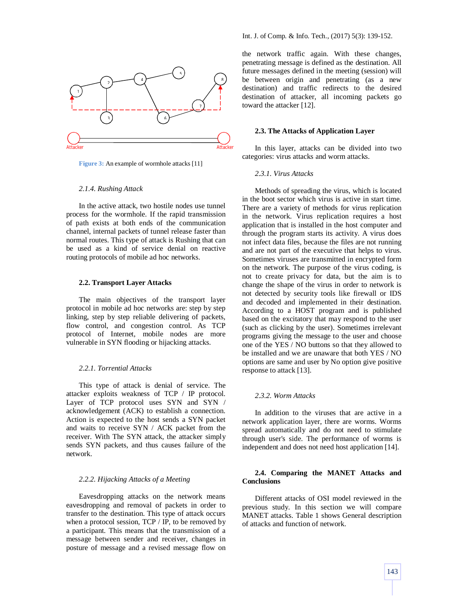

**Figure 3:** An example of wormhole attacks [11]

#### *2.1.4. Rushing Attack*

In the active attack, two hostile nodes use tunnel process for the wormhole. If the rapid transmission of path exists at both ends of the communication channel, internal packets of tunnel release faster than normal routes. This type of attack is Rushing that can be used as a kind of service denial on reactive routing protocols of mobile ad hoc networks.

#### **2.2. Transport Layer Attacks**

The main objectives of the transport layer protocol in mobile ad hoc networks are: step by step linking, step by step reliable delivering of packets, flow control, and congestion control. As TCP protocol of Internet, mobile nodes are more vulnerable in SYN flooding or hijacking attacks.

## *2.2.1. Torrential Attacks*

This type of attack is denial of service. The attacker exploits weakness of TCP / IP protocol. Layer of TCP protocol uses SYN and SYN / acknowledgement (ACK) to establish a connection. Action is expected to the host sends a SYN packet and waits to receive SYN / ACK packet from the receiver. With The SYN attack, the attacker simply sends SYN packets, and thus causes failure of the network.

#### *2.2.2. Hijacking Attacks of a Meeting*

Eavesdropping attacks on the network means eavesdropping and removal of packets in order to transfer to the destination. This type of attack occurs when a protocol session, TCP / IP, to be removed by a participant. This means that the transmission of a message between sender and receiver, changes in posture of message and a revised message flow on the network traffic again. With these changes, penetrating message is defined as the destination. All future messages defined in the meeting (session) will be between origin and penetrating (as a new destination) and traffic redirects to the desired destination of attacker, all incoming packets go toward the attacker [12].

#### **2.3. The Attacks of Application Layer**

In this layer, attacks can be divided into two categories: virus attacks and worm attacks.

## *2.3.1. Virus Attacks*

Methods of spreading the virus, which is located in the boot sector which virus is active in start time. There are a variety of methods for virus replication in the network. Virus replication requires a host application that is installed in the host computer and through the program starts its activity. A virus does not infect data files, because the files are not running and are not part of the executive that helps to virus. Sometimes viruses are transmitted in encrypted form on the network. The purpose of the virus coding, is not to create privacy for data, but the aim is to change the shape of the virus in order to network is not detected by security tools like firewall or IDS and decoded and implemented in their destination. According to a HOST program and is published based on the excitatory that may respond to the user (such as clicking by the user). Sometimes irrelevant programs giving the message to the user and choose one of the YES / NO buttons so that they allowed to be installed and we are unaware that both YES / NO options are same and user by No option give positive response to attack [13].

#### *2.3.2. Worm Attacks*

In addition to the viruses that are active in a network application layer, there are worms. Worms spread automatically and do not need to stimulate through user's side. The performance of worms is independent and does not need host application [14].

## **2.4. Comparing the MANET Attacks and Conclusions**

Different attacks of OSI model reviewed in the previous study. In this section we will compare MANET attacks. Table 1 shows General description of attacks and function of network.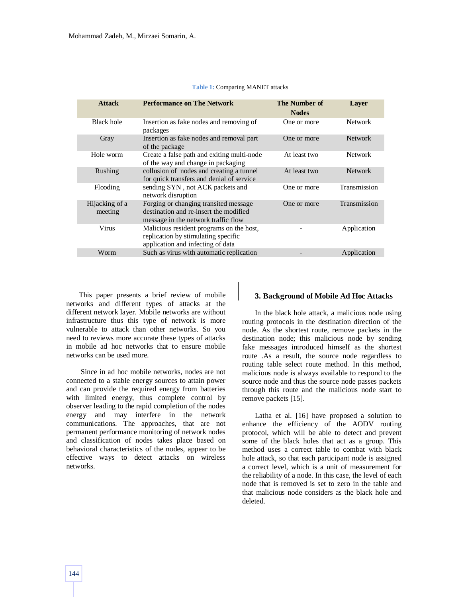| <b>Attack</b>             | <b>Performance on The Network</b>                                                                                      | The Number of<br><b>Nodes</b> | Laver          |
|---------------------------|------------------------------------------------------------------------------------------------------------------------|-------------------------------|----------------|
| <b>Black hole</b>         | Insertion as fake nodes and removing of<br>packages                                                                    | One or more                   | <b>Network</b> |
| Gray                      | Insertion as fake nodes and removal part<br>of the package                                                             | One or more                   | <b>Network</b> |
| Hole worm                 | Create a false path and exiting multi-node<br>of the way and change in packaging                                       | At least two                  | <b>Network</b> |
| Rushing                   | collusion of nodes and creating a tunnel<br>for quick transfers and denial of service                                  | At least two                  | <b>Network</b> |
| Flooding                  | sending SYN, not ACK packets and<br>network disruption                                                                 | One or more                   | Transmission   |
| Hijacking of a<br>meeting | Forging or changing transited message<br>destination and re-insert the modified<br>message in the network traffic flow | One or more                   | Transmission   |
| Virus                     | Malicious resident programs on the host,                                                                               |                               | Application    |

Worm Such as virus with automatic replication **Such as Such as Superview Application** Application

replication by stimulating specific application and infecting of data

#### **Table 1:** Comparing MANET attacks

This paper presents a brief review of mobile networks and different types of attacks at the different network layer. Mobile networks are without infrastructure thus this type of network is more vulnerable to attack than other networks. So you need to reviews more accurate these types of attacks in mobile ad hoc networks that to ensure mobile networks can be used more.

Since in ad hoc mobile networks, nodes are not connected to a stable energy sources to attain power and can provide the required energy from batteries with limited energy, thus complete control by observer leading to the rapid completion of the nodes energy and may interfere in the network communications. The approaches, that are not permanent performance monitoring of network nodes and classification of nodes takes place based on behavioral characteristics of the nodes, appear to be effective ways to detect attacks on wireless networks.

## **3. Background of Mobile Ad Hoc Attacks**

In the black hole attack, a malicious node using routing protocols in the destination direction of the node. As the shortest route, remove packets in the destination node; this malicious node by sending fake messages introduced himself as the shortest route .As a result, the source node regardless to routing table select route method. In this method, malicious node is always available to respond to the source node and thus the source node passes packets through this route and the malicious node start to remove packets [15].

Latha et al. [16] have proposed a solution to enhance the efficiency of the AODV routing protocol, which will be able to detect and prevent some of the black holes that act as a group. This method uses a correct table to combat with black hole attack, so that each participant node is assigned a correct level, which is a unit of measurement for the reliability of a node. In this case, the level of each node that is removed is set to zero in the table and that malicious node considers as the black hole and deleted.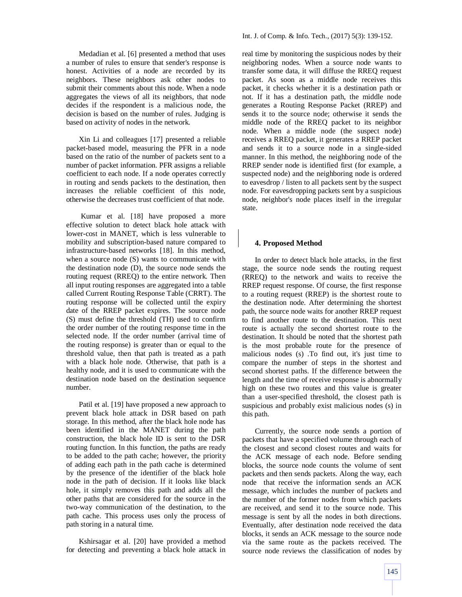Medadian et al. [6] presented a method that uses a number of rules to ensure that sender's response is honest. Activities of a node are recorded by its neighbors. These neighbors ask other nodes to submit their comments about this node. When a node aggregates the views of all its neighbors, that node decides if the respondent is a malicious node, the decision is based on the number of rules. Judging is based on activity of nodes in the network.

Xin Li and colleagues [17] presented a reliable packet-based model, measuring the PFR in a node based on the ratio of the number of packets sent to a number of packet information. PFR assigns a reliable coefficient to each node. If a node operates correctly in routing and sends packets to the destination, then increases the reliable coefficient of this node, otherwise the decreases trust coefficient of that node.

Kumar et al. [18] have proposed a more effective solution to detect black hole attack with lower-cost in MANET, which is less vulnerable to mobility and subscription-based nature compared to infrastructure-based networks [18]. In this method, when a source node (S) wants to communicate with the destination node (D), the source node sends the routing request (RREQ) to the entire network. Then all input routing responses are aggregated into a table called Current Routing Response Table (CRRT). The routing response will be collected until the expiry date of the RREP packet expires. The source node (S) must define the threshold (TH) used to confirm the order number of the routing response time in the selected node. If the order number (arrival time of the routing response) is greater than or equal to the threshold value, then that path is treated as a path with a black hole node. Otherwise, that path is a healthy node, and it is used to communicate with the destination node based on the destination sequence number.

Patil et al. [19] have proposed a new approach to prevent black hole attack in DSR based on path storage. In this method, after the black hole node has been identified in the MANET during the path construction, the black hole ID is sent to the DSR routing function. In this function, the paths are ready to be added to the path cache; however, the priority of adding each path in the path cache is determined by the presence of the identifier of the black hole node in the path of decision. If it looks like black hole, it simply removes this path and adds all the other paths that are considered for the source in the two-way communication of the destination, to the path cache. This process uses only the process of path storing in a natural time.

Kshirsagar et al. [20] have provided a method for detecting and preventing a black hole attack in real time by monitoring the suspicious nodes by their neighboring nodes. When a source node wants to transfer some data, it will diffuse the RREQ request packet. As soon as a middle node receives this packet, it checks whether it is a destination path or not. If it has a destination path, the middle node generates a Routing Response Packet (RREP) and sends it to the source node; otherwise it sends the middle node of the RREQ packet to its neighbor node. When a middle node (the suspect node) receives a RREQ packet, it generates a RREP packet and sends it to a source node in a single-sided manner. In this method, the neighboring node of the RREP sender node is identified first (for example, a suspected node) and the neighboring node is ordered to eavesdrop / listen to all packets sent by the suspect node. For eavesdropping packets sent by a suspicious node, neighbor's node places itself in the irregular state.

## **4. Proposed Method**

In order to detect black hole attacks, in the first stage, the source node sends the routing request (RREQ) to the network and waits to receive the RREP request response. Of course, the first response to a routing request (RREP) is the shortest route to the destination node. After determining the shortest path, the source node waits for another RREP request to find another route to the destination. This next route is actually the second shortest route to the destination. It should be noted that the shortest path is the most probable route for the presence of malicious nodes (s) .To find out, it's just time to compare the number of steps in the shortest and second shortest paths. If the difference between the length and the time of receive response is abnormally high on these two routes and this value is greater than a user-specified threshold, the closest path is suspicious and probably exist malicious nodes (s) in this path.

Currently, the source node sends a portion of packets that have a specified volume through each of the closest and second closest routes and waits for the ACK message of each node. Before sending blocks, the source node counts the volume of sent packets and then sends packets. Along the way, each node that receive the information sends an ACK message, which includes the number of packets and the number of the former nodes from which packets are received, and send it to the source node. This message is sent by all the nodes in both directions. Eventually, after destination node received the data blocks, it sends an ACK message to the source node via the same route as the packets received. The source node reviews the classification of nodes by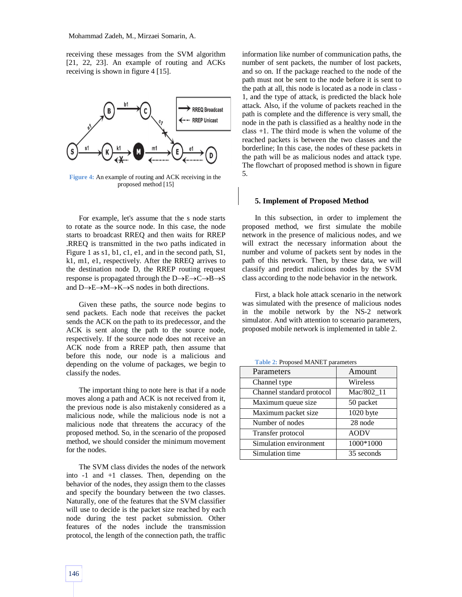receiving these messages from the SVM algorithm [21, 22, 23]. An example of routing and ACKs receiving is shown in figure 4 [15].



**Figure 4:** An example of routing and ACK receiving in the proposed method [15]

For example, let's assume that the s node starts to rotate as the source node. In this case, the node starts to broadcast RREQ and then waits for RREP .RREQ is transmitted in the two paths indicated in Figure 1 as s1, b1, c1, e1, and in the second path, S1, k1, m1, e1, respectively. After the RREQ arrives to the destination node D, the RREP routing request response is propagated through the  $D\rightarrow E\rightarrow C\rightarrow B\rightarrow S$ and  $D\rightarrow E\rightarrow M\rightarrow K\rightarrow S$  nodes in both directions.

Given these paths, the source node begins to send packets. Each node that receives the packet sends the ACK on the path to its predecessor, and the ACK is sent along the path to the source node, respectively. If the source node does not receive an ACK node from a RREP path, then assume that before this node, our node is a malicious and depending on the volume of packages, we begin to classify the nodes.

The important thing to note here is that if a node moves along a path and ACK is not received from it, the previous node is also mistakenly considered as a malicious node, while the malicious node is not a malicious node that threatens the accuracy of the proposed method. So, in the scenario of the proposed method, we should consider the minimum movement for the nodes.

The SVM class divides the nodes of the network into -1 and +1 classes. Then, depending on the behavior of the nodes, they assign them to the classes and specify the boundary between the two classes. Naturally, one of the features that the SVM classifier will use to decide is the packet size reached by each node during the test packet submission. Other features of the nodes include the transmission protocol, the length of the connection path, the traffic information like number of communication paths, the number of sent packets, the number of lost packets, and so on. If the package reached to the node of the path must not be sent to the node before it is sent to the path at all, this node is located as a node in class - 1, and the type of attack, is predicted the black hole attack. Also, if the volume of packets reached in the path is complete and the difference is very small, the node in the path is classified as a healthy node in the class +1. The third mode is when the volume of the reached packets is between the two classes and the borderline; In this case, the nodes of these packets in the path will be as malicious nodes and attack type. The flowchart of proposed method is shown in figure 5.

## **5. Implement of Proposed Method**

In this subsection, in order to implement the proposed method, we first simulate the mobile network in the presence of malicious nodes, and we will extract the necessary information about the number and volume of packets sent by nodes in the path of this network. Then, by these data, we will classify and predict malicious nodes by the SVM class according to the node behavior in the network.

First, a black hole attack scenario in the network was simulated with the presence of malicious nodes in the mobile network by the NS-2 network simulator. And with attention to scenario parameters, proposed mobile network is implemented in table 2.

**Table 2:** Proposed MANET parameters

| Parameters                | Amount      |
|---------------------------|-------------|
| Channel type              | Wireless    |
| Channel standard protocol | Mac/802 11  |
| Maximum queue size        | 50 packet   |
| Maximum packet size       | 1020 byte   |
| Number of nodes           | 28 node     |
| Transfer protocol         | <b>AODV</b> |
| Simulation environment    | 1000*1000   |
| Simulation time           | 35 seconds  |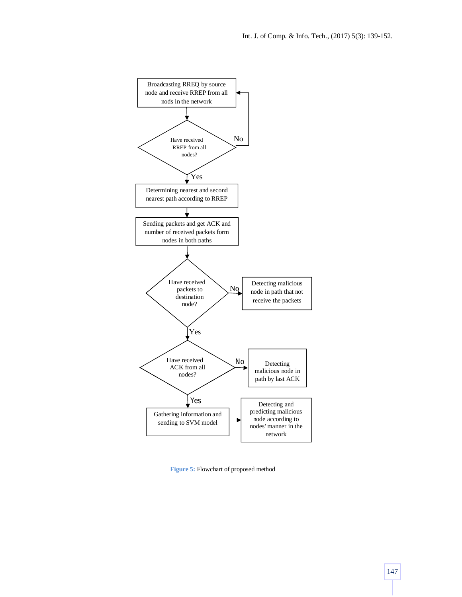

**Figure 5:** Flowchart of proposed method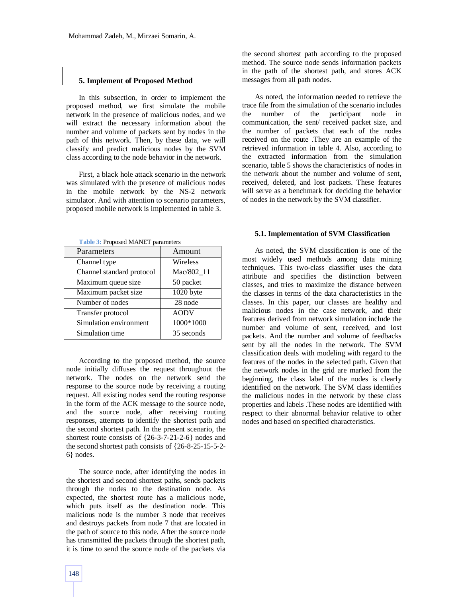## **5. Implement of Proposed Method**

In this subsection, in order to implement the proposed method, we first simulate the mobile network in the presence of malicious nodes, and we will extract the necessary information about the number and volume of packets sent by nodes in the path of this network. Then, by these data, we will classify and predict malicious nodes by the SVM class according to the node behavior in the network.

First, a black hole attack scenario in the network was simulated with the presence of malicious nodes in the mobile network by the NS-2 network simulator. And with attention to scenario parameters, proposed mobile network is implemented in table 3.

| Table 3: Proposed MANET parameters |  |
|------------------------------------|--|
|------------------------------------|--|

| Amount      |
|-------------|
| Wireless    |
| Mac/802 11  |
| 50 packet   |
| 1020 byte   |
| 28 node     |
| <b>AODV</b> |
| 1000*1000   |
| 35 seconds  |
|             |

According to the proposed method, the source node initially diffuses the request throughout the network. The nodes on the network send the response to the source node by receiving a routing request. All existing nodes send the routing response in the form of the ACK message to the source node, and the source node, after receiving routing responses, attempts to identify the shortest path and the second shortest path. In the present scenario, the shortest route consists of {26-3-7-21-2-6} nodes and the second shortest path consists of {26-8-25-15-5-2- 6} nodes.

The source node, after identifying the nodes in the shortest and second shortest paths, sends packets through the nodes to the destination node. As expected, the shortest route has a malicious node, which puts itself as the destination node. This malicious node is the number 3 node that receives and destroys packets from node 7 that are located in the path of source to this node. After the source node has transmitted the packets through the shortest path, it is time to send the source node of the packets via the second shortest path according to the proposed method. The source node sends information packets in the path of the shortest path, and stores ACK messages from all path nodes.

As noted, the information needed to retrieve the trace file from the simulation of the scenario includes the number of the participant node in communication, the sent/ received packet size, and the number of packets that each of the nodes received on the route .They are an example of the retrieved information in table 4. Also, according to the extracted information from the simulation scenario, table 5 shows the characteristics of nodes in the network about the number and volume of sent, received, deleted, and lost packets. These features will serve as a benchmark for deciding the behavior of nodes in the network by the SVM classifier.

#### **5.1. Implementation of SVM Classification**

As noted, the SVM classification is one of the most widely used methods among data mining techniques. This two-class classifier uses the data attribute and specifies the distinction between classes, and tries to maximize the distance between the classes in terms of the data characteristics in the classes. In this paper, our classes are healthy and malicious nodes in the case network, and their features derived from network simulation include the number and volume of sent, received, and lost packets. And the number and volume of feedbacks sent by all the nodes in the network. The SVM classification deals with modeling with regard to the features of the nodes in the selected path. Given that the network nodes in the grid are marked from the beginning, the class label of the nodes is clearly identified on the network. The SVM class identifies the malicious nodes in the network by these class properties and labels .These nodes are identified with respect to their abnormal behavior relative to other nodes and based on specified characteristics.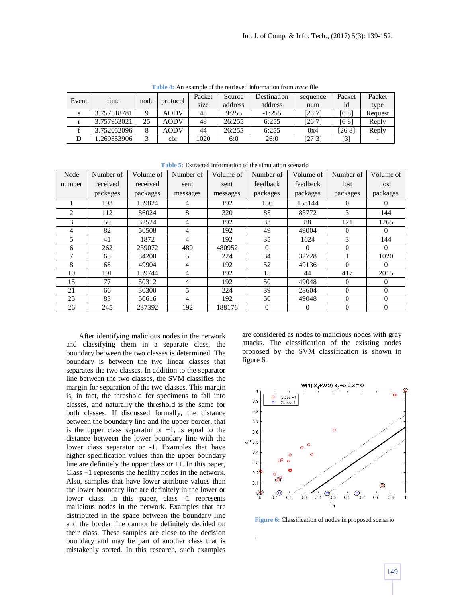**Table 4:** An example of the retrieved information from *trace* file

| Event<br>time |             | node     |             | Packet  | Source  | Destination | sequence | Packet | Packet  |
|---------------|-------------|----------|-------------|---------|---------|-------------|----------|--------|---------|
|               |             | protocol | size        | address | address | num         | id       | type   |         |
|               | 3.757518781 | Q        | <b>AODV</b> | 48      | 9:255   | $-1:255$    | [26 7]   | [68]   | Request |
|               | 3.757963021 | 25       | <b>AODV</b> | 48      | 26:255  | 6:255       | [26 7]   | [68]   | Reply   |
|               | 3.752052096 | 8        | <b>AODV</b> | 44      | 26:255  | 6:255       | 0x4      | [26 8] | Reply   |
| D             | .269853906  | 3        | cbr         | 1020    | 6:0     | 26:0        | [273]    | $[3]$  |         |

**Table 5:** Extracted information of the simulation scenario

| Node           | Number of | Volume of | Number of | Volume of | Number of | Volume of | Number of | Volume of |
|----------------|-----------|-----------|-----------|-----------|-----------|-----------|-----------|-----------|
| number         | received  | received  | sent      | sent      | feedback  | feedback  | lost      | lost      |
|                | packages  | packages  | messages  | messages  | packages  | packages  | packages  | packages  |
|                | 193       | 159824    | 4         | 192       | 156       | 158144    | 0         | $\Omega$  |
| $\overline{2}$ | 112       | 86024     | 8         | 320       | 85        | 83772     | 3         | 144       |
| 3              | 50        | 32524     | 4         | 192       | 33        | 88        | 121       | 1265      |
| 4              | 82        | 50508     | 4         | 192       | 49        | 49004     | $\Omega$  | $\Omega$  |
| 5              | 41        | 1872      | 4         | 192       | 35        | 1624      | 3         | 144       |
| 6              | 262       | 239072    | 480       | 480952    | $\Omega$  | $\Omega$  | $\Omega$  | $\theta$  |
| 7              | 65        | 34200     | 5.        | 224       | 34        | 32728     |           | 1020      |
| 8              | 68        | 49904     | 4         | 192       | 52        | 49136     | $\Omega$  | $\theta$  |
| 10             | 191       | 159744    | 4         | 192       | 15        | 44        | 417       | 2015      |
| 15             | 77        | 50312     | 4         | 192       | 50        | 49048     | $\Omega$  | $\theta$  |
| 21             | 66        | 30300     | 5         | 224       | 39        | 28604     | $\Omega$  | $\Omega$  |
| 25             | 83        | 50616     | 4         | 192       | 50        | 49048     | $\Omega$  | $\Omega$  |
| 26             | 245       | 237392    | 192       | 188176    | $\Omega$  | $\Omega$  | $\Omega$  | $\Omega$  |

After identifying malicious nodes in the network and classifying them in a separate class, the boundary between the two classes is determined. The boundary is between the two linear classes that separates the two classes. In addition to the separator line between the two classes, the SVM classifies the margin for separation of the two classes. This margin is, in fact, the threshold for specimens to fall into classes, and naturally the threshold is the same for both classes. If discussed formally, the distance between the boundary line and the upper border, that is the upper class separator or  $+1$ , is equal to the distance between the lower boundary line with the lower class separator or -1. Examples that have higher specification values than the upper boundary line are definitely the upper class or +1. In this paper, Class +1 represents the healthy nodes in the network. Also, samples that have lower attribute values than the lower boundary line are definitely in the lower or lower class. In this paper, class -1 represents malicious nodes in the network. Examples that are distributed in the space between the boundary line and the border line cannot be definitely decided on their class. These samples are close to the decision boundary and may be part of another class that is mistakenly sorted. In this research, such examples

are considered as nodes to malicious nodes with gray attacks. The classification of the existing nodes proposed by the SVM classification is shown in figure 6.



**Figure 6:** Classification of nodes in proposed scenario

.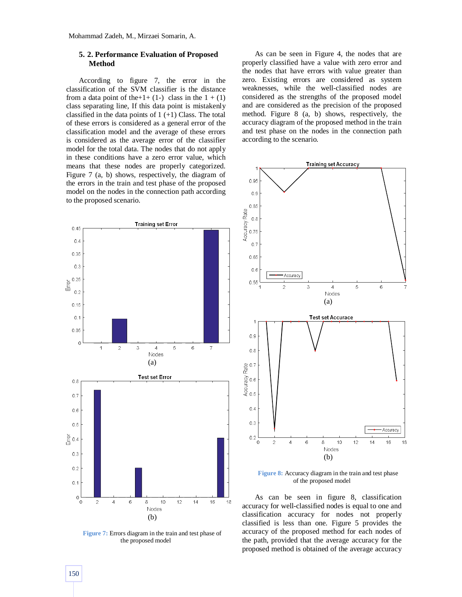## **5. 2. Performance Evaluation of Proposed Method**

According to figure 7, the error in the classification of the SVM classifier is the distance from a data point of the + 1 + (1-) class in the  $1 + (1)$ class separating line, If this data point is mistakenly classified in the data points of  $1 (+1)$  Class. The total of these errors is considered as a general error of the classification model and the average of these errors is considered as the average error of the classifier model for the total data. The nodes that do not apply in these conditions have a zero error value, which means that these nodes are properly categorized. Figure 7 (a, b) shows, respectively, the diagram of the errors in the train and test phase of the proposed model on the nodes in the connection path according to the proposed scenario.



**Figure 7:** Errors diagram in the train and test phase of the proposed model

As can be seen in Figure 4, the nodes that are properly classified have a value with zero error and the nodes that have errors with value greater than zero. Existing errors are considered as system weaknesses, while the well-classified nodes are considered as the strengths of the proposed model and are considered as the precision of the proposed method. Figure 8 (a, b) shows, respectively, the accuracy diagram of the proposed method in the train and test phase on the nodes in the connection path according to the scenario.



**Figure 8:** Accuracy diagram in the train and test phase of the proposed model

As can be seen in figure 8, classification accuracy for well-classified nodes is equal to one and classification accuracy for nodes not properly classified is less than one. Figure 5 provides the accuracy of the proposed method for each nodes of the path, provided that the average accuracy for the proposed method is obtained of the average accuracy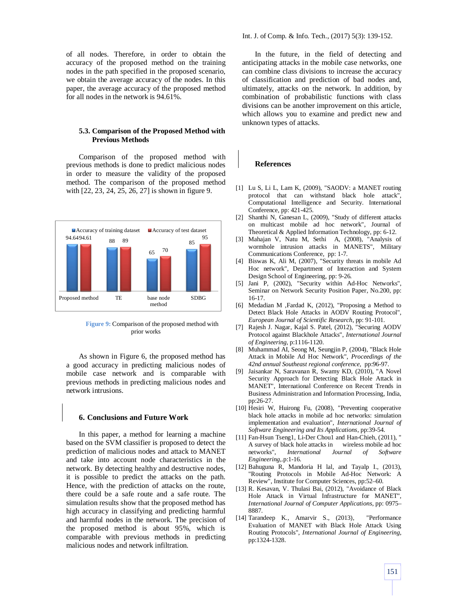of all nodes. Therefore, in order to obtain the accuracy of the proposed method on the training nodes in the path specified in the proposed scenario, we obtain the average accuracy of the nodes. In this paper, the average accuracy of the proposed method for all nodes in the network is 94.61%.

## **5.3. Comparison of the Proposed Method with Previous Methods**

Comparison of the proposed method with previous methods is done to predict malicious nodes in order to measure the validity of the proposed method. The comparison of the proposed method with [22, 23, 24, 25, 26, 27] is shown in figure 9.



**Figure 9:** Comparison of the proposed method with prior works

As shown in Figure 6, the proposed method has a good accuracy in predicting malicious nodes of mobile case network and is comparable with previous methods in predicting malicious nodes and network intrusions.

#### **6. Conclusions and Future Work**

In this paper, a method for learning a machine based on the SVM classifier is proposed to detect the prediction of malicious nodes and attack to MANET and take into account node characteristics in the network. By detecting healthy and destructive nodes, it is possible to predict the attacks on the path. Hence, with the prediction of attacks on the route, there could be a safe route and a safe route. The simulation results show that the proposed method has high accuracy in classifying and predicting harmful and harmful nodes in the network. The precision of the proposed method is about 95%, which is comparable with previous methods in predicting malicious nodes and network infiltration.

In the future, in the field of detecting and anticipating attacks in the mobile case networks, one can combine class divisions to increase the accuracy of classification and prediction of bad nodes and, ultimately, attacks on the network. In addition, by combination of probabilistic functions with class divisions can be another improvement on this article, which allows you to examine and predict new and unknown types of attacks.

## **References**

- [1] Lu S, Li L, Lam K, (2009), "SAODV: a MANET routing protocol that can withstand black hole attack", Computational Intelligence and Security. International Conference, pp: 421-425.
- [2] Shanthi N, Ganesan L, (2009), "Study of different attacks on multicast mobile ad hoc network", Journal of Theoretical & Applied Information Technology, pp: 6-12.
- [3] Mahajan V, Natu M, Sethi A, (2008), "Analysis of wormhole intrusion attacks in MANETS", Military Communications Conference, pp: 1-7.
- [4] Biswas K, Ali M, (2007), "Security threats in mobile Ad Hoc network", Department of Interaction and System Design School of Engineering, pp: 9-26.
- [5] Jani P, (2002), "Security within Ad-Hoc Networks", Seminar on Network Security Position Paper, No.200, pp: 16-17.
- [6] Medadian M ,Fardad K, (2012), "Proposing a Method to Detect Black Hole Attacks in AODV Routing Protocol", *European Journal of Scientific Research*, pp: 91-101.
- [7] Rajesh J. Nagar, Kajal S. Patel, (2012), "Securing AODV Protocol against Blackhole Attacks", *International Journal of Engineering*, p:1116-1120.
- [8] Muhammad AI, Seong M, Seungjin P, (2004), "Black Hole Attack in Mobile Ad Hoc Network", *Proceedings of the 42nd annual Southeast regional conference*, pp:96-97.
- [9] Jaisankar N, Saravanan R, Swamy KD, (2010), "A Novel Security Approach for Detecting Black Hole Attack in MANET", International Conference on Recent Trends in Business Administration and Information Processing, India, pp:26-27.
- [10] Hesiri W, Huirong Fu, (2008), "Preventing cooperative black hole attacks in mobile ad hoc networks: simulation implementation and evaluation", *International Journal of Software Engineering and Its Applications*, pp:39-54.
- [11] Fan-Hsun Tseng1, Li-Der Chou1 and Han-Chieh, (2011), A survey of black hole attacks in wireless mobile ad hoc networks", *International Journal of Software Engineering*,.p:1-16.
- [12] Bahuguna R, Mandoria H lal, and Tayalp I., (2013), "Routing Protocols in Mobile Ad-Hoc Network: A Review", Institute for Computer Sciences, pp:52–60.
- [13] R. Kesavan, V. Thulasi Bai, (2012), "Avoidance of Black Hole Attack in Virtual Infrastructure for MANET", *International Journal of Computer Applications*, pp: 0975– 8887.
- [14] Tarandeep K., Amarvir S., (2013), "Performance Evaluation of MANET with Black Hole Attack Using Routing Protocols", *International Journal of Engineering*, pp:1324-1328.